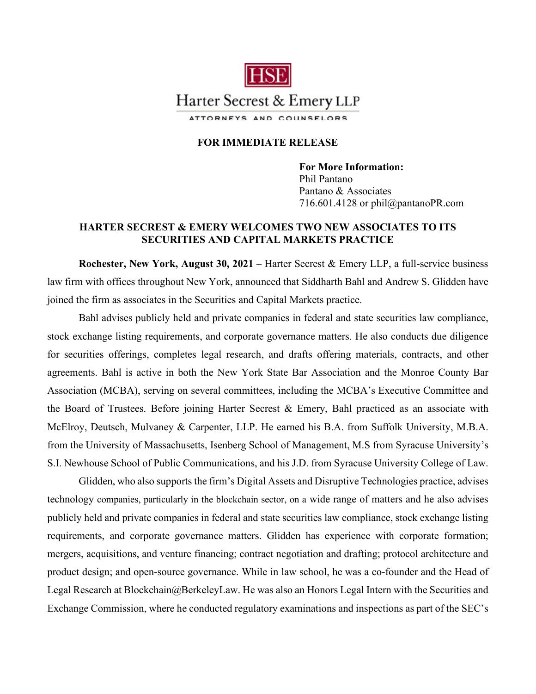

## **FOR IMMEDIATE RELEASE**

**For More Information:**  Phil Pantano Pantano & Associates 716.601.4128 or phil@pantanoPR.com

## **HARTER SECREST & EMERY WELCOMES TWO NEW ASSOCIATES TO ITS SECURITIES AND CAPITAL MARKETS PRACTICE**

**Rochester, New York, August 30, 2021** – Harter Secrest & Emery LLP, a full-service business law firm with offices throughout New York, announced that Siddharth Bahl and Andrew S. Glidden have joined the firm as associates in the Securities and Capital Markets practice.

Bahl advises publicly held and private companies in federal and state securities law compliance, stock exchange listing requirements, and corporate governance matters. He also conducts due diligence for securities offerings, completes legal research, and drafts offering materials, contracts, and other agreements. Bahl is active in both the New York State Bar Association and the Monroe County Bar Association (MCBA), serving on several committees, including the MCBA's Executive Committee and the Board of Trustees. Before joining Harter Secrest & Emery, Bahl practiced as an associate with McElroy, Deutsch, Mulvaney & Carpenter, LLP. He earned his B.A. from Suffolk University, M.B.A. from the University of Massachusetts, Isenberg School of Management, M.S from Syracuse University's S.I. Newhouse School of Public Communications, and his J.D. from Syracuse University College of Law.

Glidden, who also supports the firm's Digital Assets and Disruptive Technologies practice, advises technology companies, particularly in the blockchain sector, on a wide range of matters and he also advises publicly held and private companies in federal and state securities law compliance, stock exchange listing requirements, and corporate governance matters. Glidden has experience with corporate formation; mergers, acquisitions, and venture financing; contract negotiation and drafting; protocol architecture and product design; and open-source governance. While in law school, he was a co-founder and the Head of Legal Research at Blockchain@BerkeleyLaw. He was also an Honors Legal Intern with the Securities and Exchange Commission, where he conducted regulatory examinations and inspections as part of the SEC's